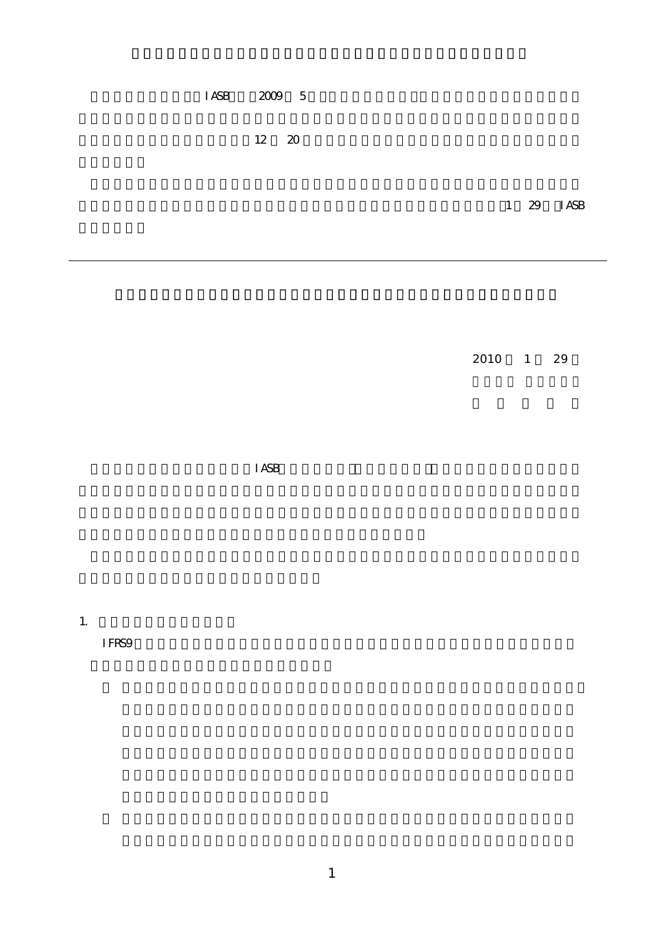$IASB$  2009 5

 $\overline{12}$  20  $\overline{20}$ 

1 29 IASB

 $2010$  1 29

 $IASB$ 

1. 公正価値測定が困難な実例

IFRS9  $\overline{1}$  FRS9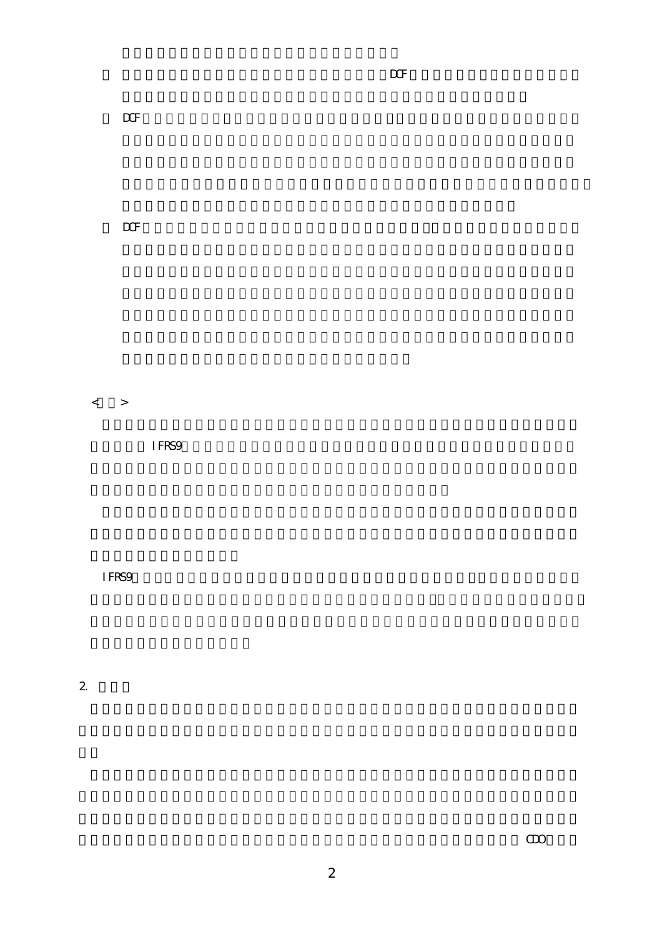$\overline{DCF}$ 

 $\overline{DCF}$  and  $\overline{DCF}$ 

 $\overline{\text{DCF}}$  in the system system  $\overline{\text{DCF}}$ 

 $\langle \quad \rangle$ 

 $\overline{1}$  FRS9

IFRS9には、公正価値測定が困難な状況があり得ることを認めたうえで、取得価額が公正価値

2. その他

 $\Box$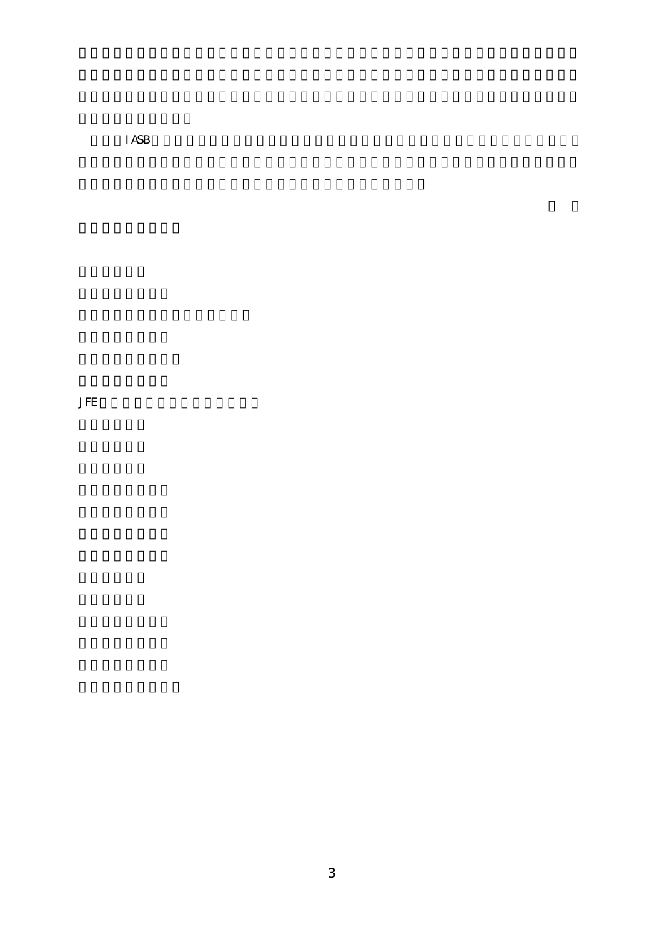$I$  ASB

**JFE**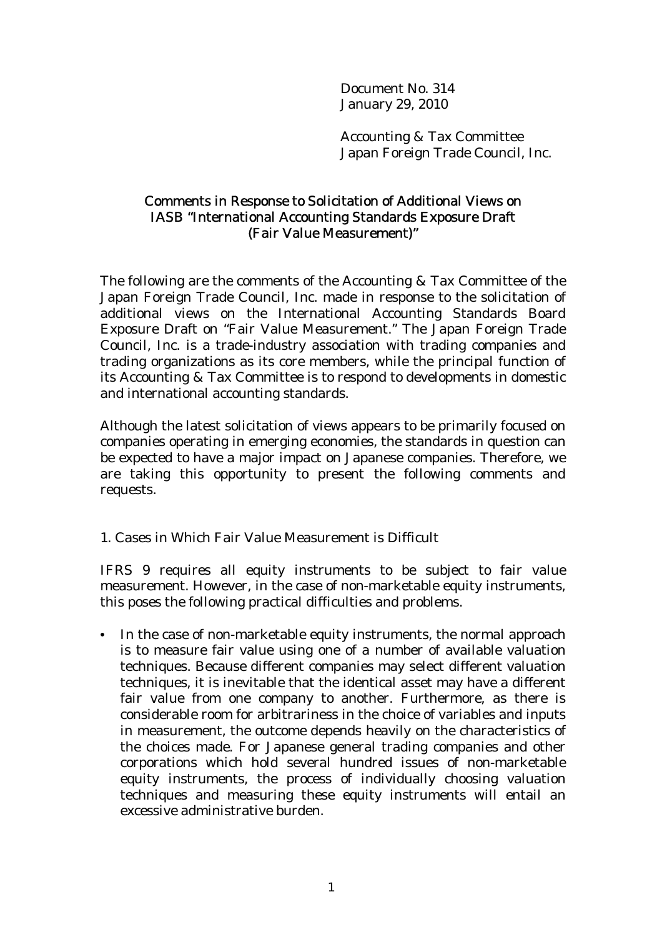Document No. 314 January 29, 2010

Accounting & Tax Committee Japan Foreign Trade Council, Inc.

## Comments in Response to Solicitation of Additional Views on IASB "International Accounting Standards Exposure Draft (Fair Value Measurement)"

The following are the comments of the Accounting & Tax Committee of the Japan Foreign Trade Council, Inc. made in response to the solicitation of additional views on the International Accounting Standards Board Exposure Draft on "Fair Value Measurement." The Japan Foreign Trade Council, Inc. is a trade-industry association with trading companies and trading organizations as its core members, while the principal function of its Accounting & Tax Committee is to respond to developments in domestic and international accounting standards.

Although the latest solicitation of views appears to be primarily focused on companies operating in emerging economies, the standards in question can be expected to have a major impact on Japanese companies. Therefore, we are taking this opportunity to present the following comments and requests.

## 1. Cases in Which Fair Value Measurement is Difficult

IFRS 9 requires all equity instruments to be subject to fair value measurement. However, in the case of non-marketable equity instruments, this poses the following practical difficulties and problems.

• In the case of non-marketable equity instruments, the normal approach is to measure fair value using one of a number of available valuation techniques. Because different companies may select different valuation techniques, it is inevitable that the identical asset may have a different fair value from one company to another. Furthermore, as there is considerable room for arbitrariness in the choice of variables and inputs in measurement, the outcome depends heavily on the characteristics of the choices made. For Japanese general trading companies and other corporations which hold several hundred issues of non-marketable equity instruments, the process of individually choosing valuation techniques and measuring these equity instruments will entail an excessive administrative burden.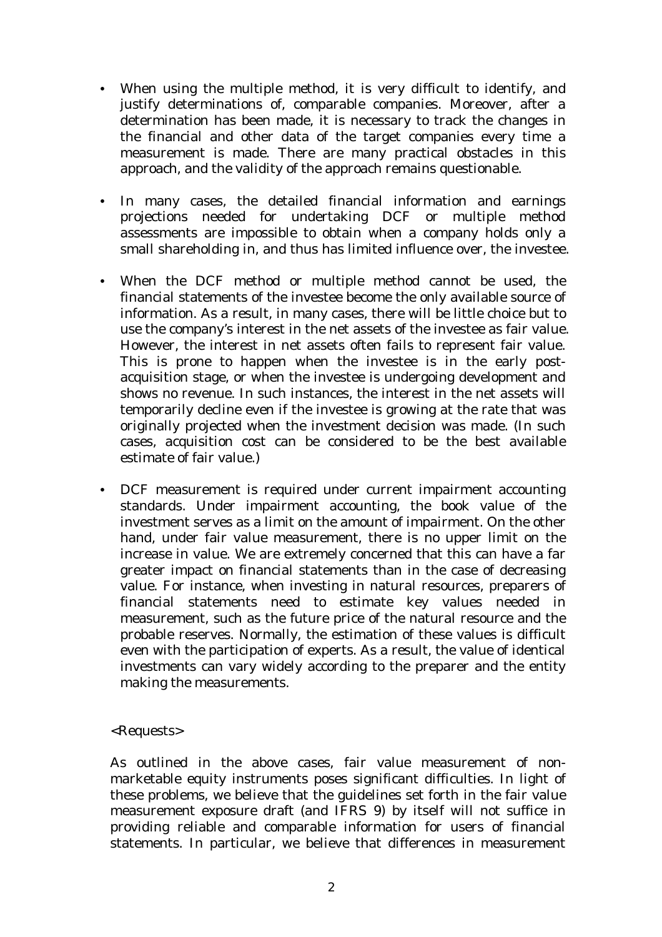- When using the multiple method, it is very difficult to identify, and justify determinations of, comparable companies. Moreover, after a determination has been made, it is necessary to track the changes in the financial and other data of the target companies every time a measurement is made. There are many practical obstacles in this approach, and the validity of the approach remains questionable.
- In many cases, the detailed financial information and earnings projections needed for undertaking DCF or multiple method assessments are impossible to obtain when a company holds only a small shareholding in, and thus has limited influence over, the investee.
- When the DCF method or multiple method cannot be used, the financial statements of the investee become the only available source of information. As a result, in many cases, there will be little choice but to use the company's interest in the net assets of the investee as fair value. However, the interest in net assets often fails to represent fair value. This is prone to happen when the investee is in the early postacquisition stage, or when the investee is undergoing development and shows no revenue. In such instances, the interest in the net assets will temporarily decline even if the investee is growing at the rate that was originally projected when the investment decision was made. (In such cases, acquisition cost can be considered to be the best available estimate of fair value.)
- DCF measurement is required under current impairment accounting standards. Under impairment accounting, the book value of the investment serves as a limit on the amount of impairment. On the other hand, under fair value measurement, there is no upper limit on the increase in value. We are extremely concerned that this can have a far greater impact on financial statements than in the case of decreasing value. For instance, when investing in natural resources, preparers of financial statements need to estimate key values needed in measurement, such as the future price of the natural resource and the probable reserves. Normally, the estimation of these values is difficult even with the participation of experts. As a result, the value of identical investments can vary widely according to the preparer and the entity making the measurements.

## <Requests>

As outlined in the above cases, fair value measurement of nonmarketable equity instruments poses significant difficulties. In light of these problems, we believe that the guidelines set forth in the fair value measurement exposure draft (and IFRS 9) by itself will not suffice in providing reliable and comparable information for users of financial statements. In particular, we believe that differences in measurement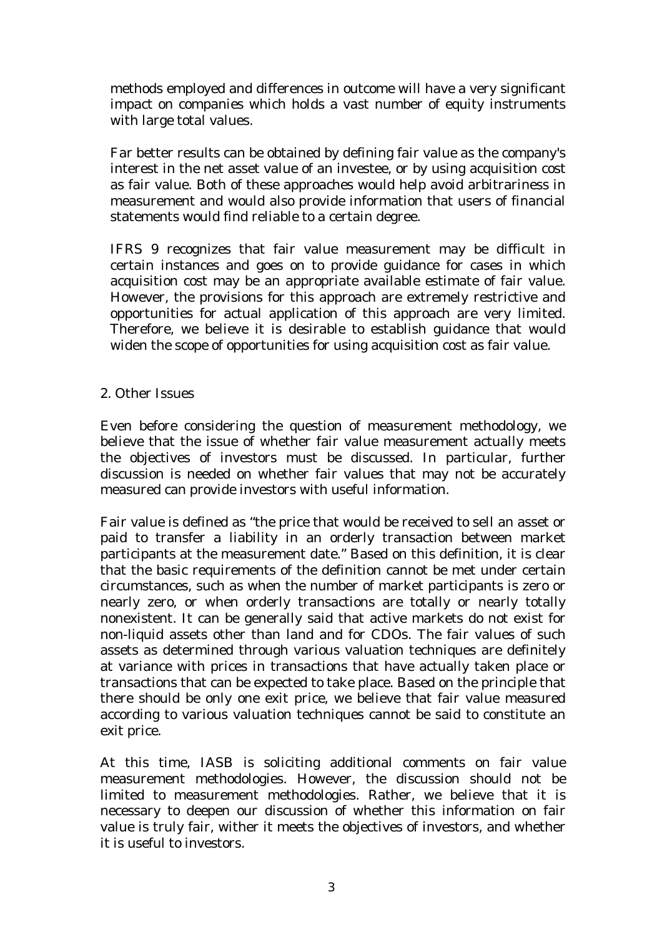methods employed and differences in outcome will have a very significant impact on companies which holds a vast number of equity instruments with large total values.

Far better results can be obtained by defining fair value as the company's interest in the net asset value of an investee, or by using acquisition cost as fair value. Both of these approaches would help avoid arbitrariness in measurement and would also provide information that users of financial statements would find reliable to a certain degree.

IFRS 9 recognizes that fair value measurement may be difficult in certain instances and goes on to provide guidance for cases in which acquisition cost may be an appropriate available estimate of fair value. However, the provisions for this approach are extremely restrictive and opportunities for actual application of this approach are very limited. Therefore, we believe it is desirable to establish guidance that would widen the scope of opportunities for using acquisition cost as fair value.

## 2. Other Issues

Even before considering the question of measurement methodology, we believe that the issue of whether fair value measurement actually meets the objectives of investors must be discussed. In particular, further discussion is needed on whether fair values that may not be accurately measured can provide investors with useful information.

Fair value is defined as "the price that would be received to sell an asset or paid to transfer a liability in an orderly transaction between market participants at the measurement date." Based on this definition, it is clear that the basic requirements of the definition cannot be met under certain circumstances, such as when the number of market participants is zero or nearly zero, or when orderly transactions are totally or nearly totally nonexistent. It can be generally said that active markets do not exist for non-liquid assets other than land and for CDOs. The fair values of such assets as determined through various valuation techniques are definitely at variance with prices in transactions that have actually taken place or transactions that can be expected to take place. Based on the principle that there should be only one exit price, we believe that fair value measured according to various valuation techniques cannot be said to constitute an exit price.

At this time, IASB is soliciting additional comments on fair value measurement methodologies. However, the discussion should not be limited to measurement methodologies. Rather, we believe that it is necessary to deepen our discussion of whether this information on fair value is truly fair, wither it meets the objectives of investors, and whether it is useful to investors.